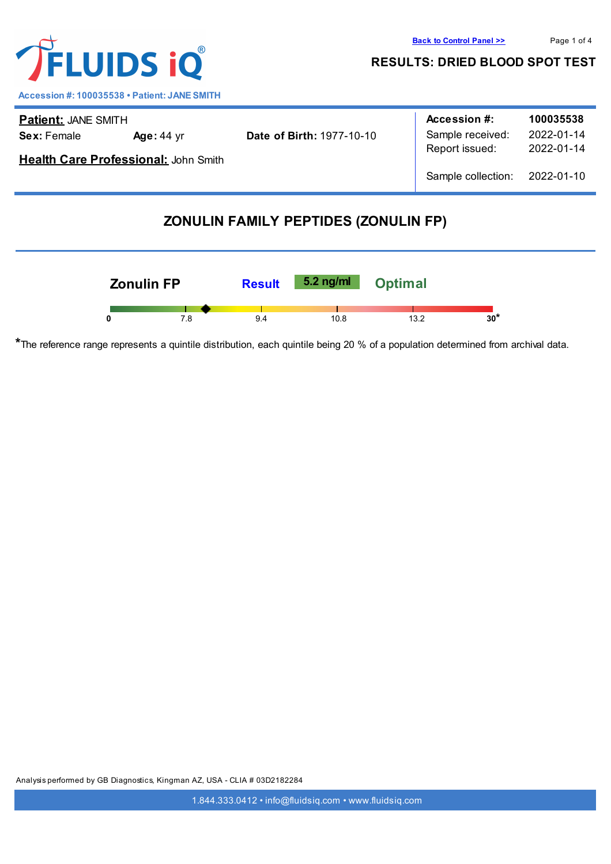

**Accession #: 100035538 • Patient: JANE SMITH**

| <b>Patient: JANE SMITH</b>           |                   |                                  | Accession #:       | 100035538  |
|--------------------------------------|-------------------|----------------------------------|--------------------|------------|
| <b>Sex: Female</b>                   | <b>Age: 44 yr</b> | <b>Date of Birth: 1977-10-10</b> | Sample received:   | 2022-01-14 |
| Health Care Professional: John Smith |                   |                                  | Report issued:     | 2022-01-14 |
|                                      |                   |                                  | Sample collection: | 2022-01-10 |

# **ZONULIN FAMILY PEPTIDES (ZONULIN FP)**



**\***The reference range represents a quintile distribution, each quintile being 20 % of a population determined from archival data.

Analysis performed by GB Diagnostics, Kingman AZ, USA - CLIA # 03D2182284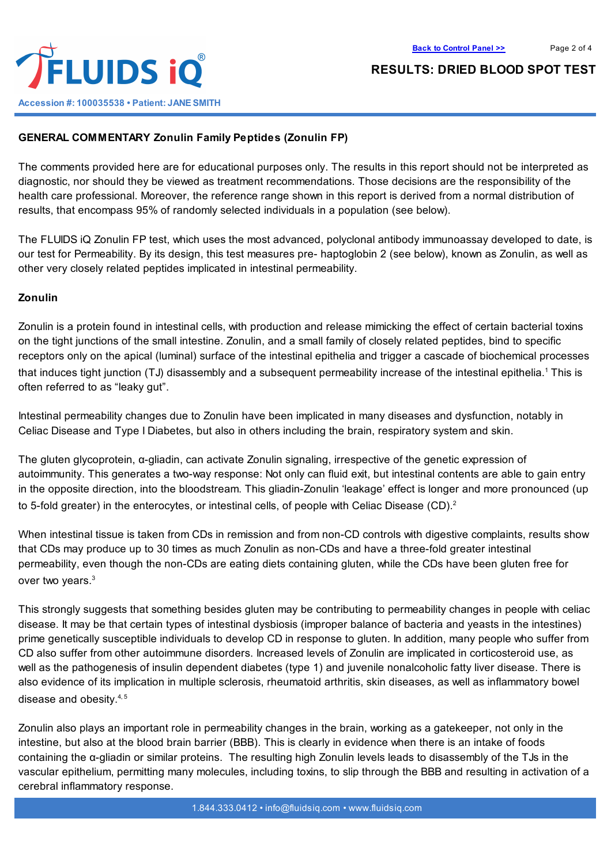

## **GENERAL COMMENTARY Zonulin Family Peptides (Zonulin FP)**

The comments provided here are for educational purposes only. The results in this report should not be interpreted as diagnostic, nor should they be viewed as treatment recommendations. Those decisions are the responsibility of the health care professional. Moreover, the reference range shown in this report is derived from a normal distribution of results, that encompass 95% of randomly selected individuals in a population (see below).

The FLUIDS iQ Zonulin FP test, which uses the most advanced, polyclonal antibody immunoassay developed to date, is our test for Permeability. By its design, this test measures pre- haptoglobin 2 (see below), known as Zonulin, as well as other very closely related peptides implicated in intestinal permeability.

#### **Zonulin**

Zonulin is a protein found in intestinal cells, with production and release mimicking the effect of certain bacterial toxins on the tight junctions of the small intestine. Zonulin, and a small family of closely related peptides, bind to specific receptors only on the apical (luminal) surface of the intestinal epithelia and trigger a cascade of biochemical processes that induces tight junction (TJ) disassembly and a subsequent permeability increase of the intestinal epithelia. <sup>1</sup> This is often referred to as "leaky gut".

Intestinal permeability changes due to Zonulin have been implicated in many diseases and dysfunction, notably in Celiac Disease and Type I Diabetes, but also in others including the brain, respiratory system and skin.

The gluten glycoprotein, α-gliadin, can activate Zonulin signaling, irrespective of the genetic expression of autoimmunity. This generates a two-way response: Not only can fluid exit, but intestinal contents are able to gain entry in the opposite direction, into the bloodstream. This gliadin-Zonulin 'leakage' effect is longer and more pronounced (up to 5-fold greater) in the enterocytes, or intestinal cells, of people with Celiac Disease (CD).<sup>2</sup>

When intestinal tissue is taken from CDs in remission and from non-CD controls with digestive complaints, results show that CDs may produce up to 30 times as much Zonulin as non-CDs and have a three-fold greater intestinal permeability, even though the non-CDs are eating diets containing gluten, while the CDs have been gluten free for over two years. 3

This strongly suggests that something besides gluten may be contributing to permeability changes in people with celiac disease. It may be that certain types of intestinal dysbiosis (improper balance of bacteria and yeasts in the intestines) prime genetically susceptible individuals to develop CD in response to gluten. In addition, many people who suffer from CD also suffer from other autoimmune disorders. Increased levels of Zonulin are implicated in corticosteroid use, as well as the pathogenesis of insulin dependent diabetes (type 1) and juvenile nonalcoholic fatty liver disease. There is also evidence of its implication in multiple sclerosis, rheumatoid arthritis, skin diseases, as well as inflammatory bowel disease and obesity.<sup>4, 5</sup>

Zonulin also plays an important role in permeability changes in the brain, working as a gatekeeper, not only in the intestine, but also at the blood brain barrier (BBB). This is clearly in evidence when there is an intake of foods containing the α-gliadin or similar proteins. The resulting high Zonulin levels leads to disassembly of the TJs in the vascular epithelium, permitting many molecules, including toxins, to slip through the BBB and resulting in activation of a cerebral inflammatory response.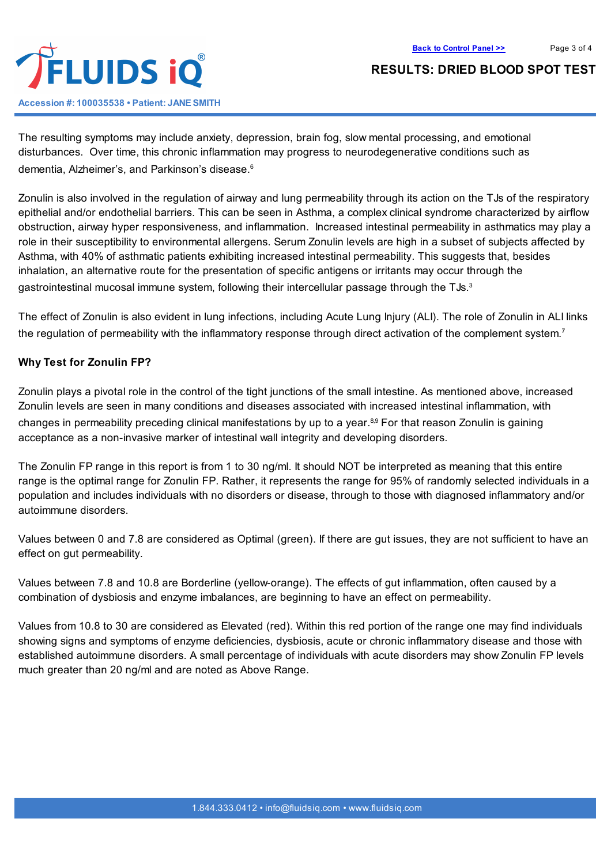

The resulting symptoms may include anxiety, depression, brain fog, slow mental processing, and emotional disturbances. Over time, this chronic inflammation may progress to neurodegenerative conditions such as dementia, Alzheimer's, and Parkinson's disease. 6

Zonulin is also involved in the regulation of airway and lung permeability through its action on the TJs of the respiratory epithelial and/or endothelial barriers. This can be seen in Asthma, a complex clinical syndrome characterized by airflow obstruction, airway hyper responsiveness, and inflammation. Increased intestinal permeability in asthmatics may play a role in their susceptibility to environmental allergens. Serum Zonulin levels are high in a subset of subjects affected by Asthma, with 40% of asthmatic patients exhibiting increased intestinal permeability. This suggests that, besides inhalation, an alternative route for the presentation of specific antigens or irritants may occur through the gastrointestinal mucosal immune system, following their intercellular passage through the TJs. $^3$ 

The effect of Zonulin is also evident in lung infections, including Acute Lung Injury (ALI). The role of Zonulin in ALI links the regulation of permeability with the inflammatory response through direct activation of the complement system.<sup>7</sup>

#### **Why Test for Zonulin FP?**

Zonulin plays a pivotal role in the control of the tight junctions of the small intestine. As mentioned above, increased Zonulin levels are seen in many conditions and diseases associated with increased intestinal inflammation, with changes in permeability preceding clinical manifestations by up to a year.<sup>89</sup> For that reason Zonulin is gaining acceptance as a non-invasive marker of intestinal wall integrity and developing disorders.

The Zonulin FP range in this report is from 1 to 30 ng/ml. It should NOT be interpreted as meaning that this entire range is the optimal range for Zonulin FP. Rather, it represents the range for 95% of randomly selected individuals in a population and includes individuals with no disorders or disease, through to those with diagnosed inflammatory and/or autoimmune disorders.

Values between 0 and 7.8 are considered as Optimal (green). If there are gut issues, they are not sufficient to have an effect on gut permeability.

Values between 7.8 and 10.8 are Borderline (yellow-orange). The effects of gut inflammation, often caused by a combination of dysbiosis and enzyme imbalances, are beginning to have an effect on permeability.

Values from 10.8 to 30 are considered as Elevated (red). Within this red portion of the range one may find individuals showing signs and symptoms of enzyme deficiencies, dysbiosis, acute or chronic inflammatory disease and those with established autoimmune disorders. A small percentage of individuals with acute disorders may show Zonulin FP levels much greater than 20 ng/ml and are noted as Above Range.